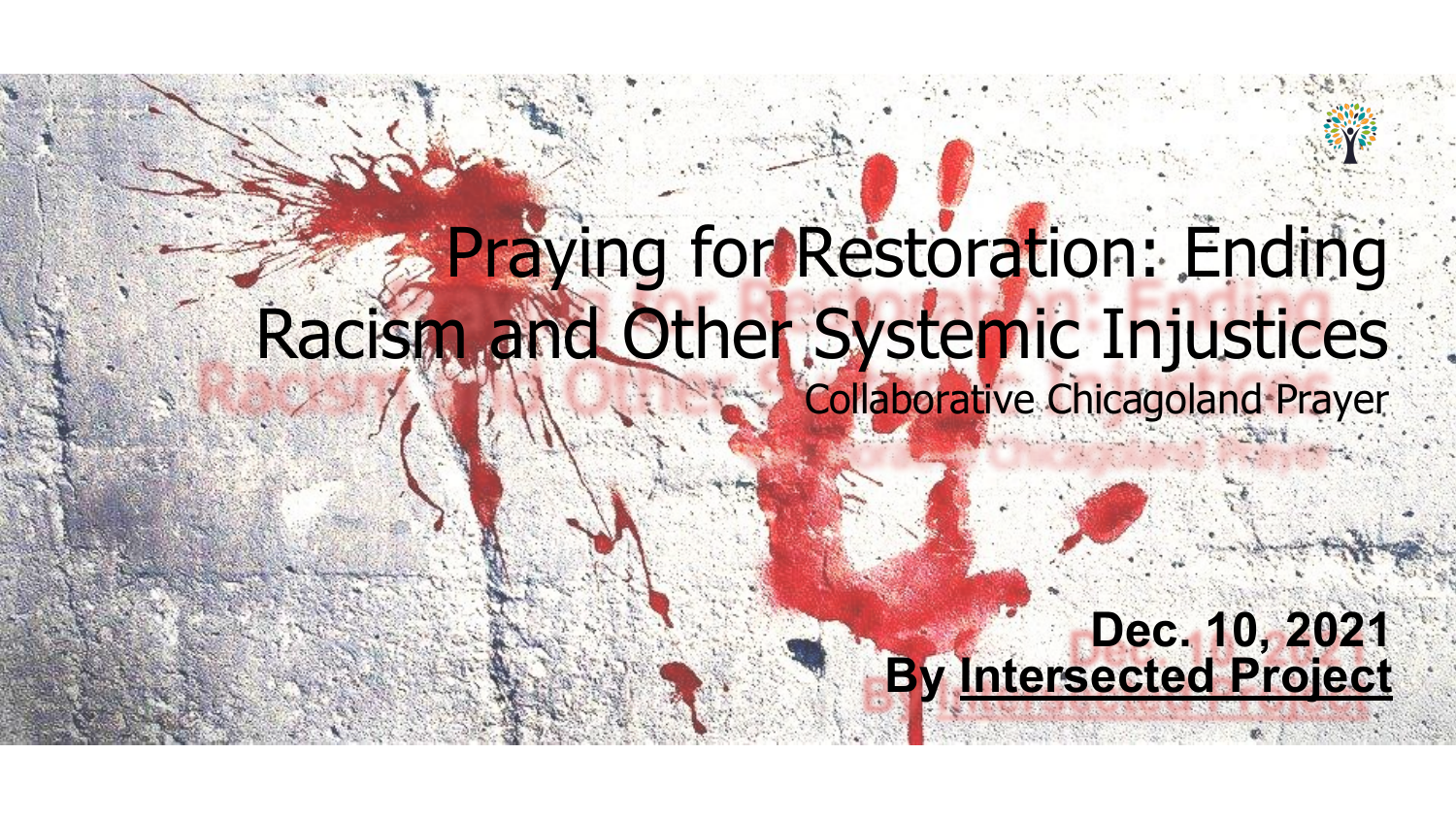# Praying for Restoration: Ending Racism and Other Systemic Injustices Collaborative Chicagoland Prayer

# **Dec. 10, 2021 By [Intersected Project](https://intersectedproject.org/)**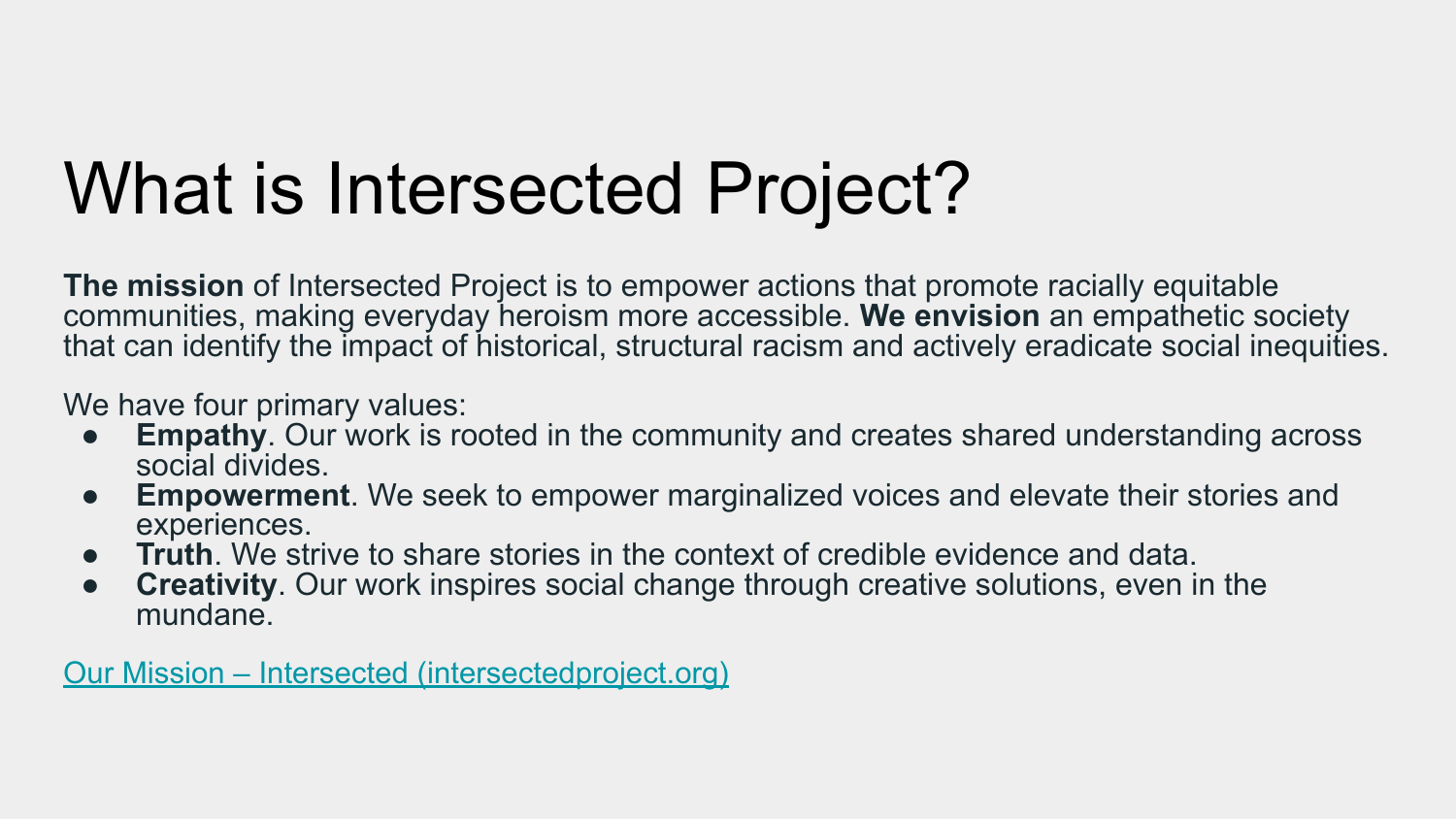# What is Intersected Project?

**The mission** of Intersected Project is to empower actions that promote racially equitable communities, making everyday heroism more accessible. **We envision** an empathetic society that can identify the impact of historical, structural racism and actively eradicate social inequities.

We have four primary values:

- **Empathy**. Our work is rooted in the community and creates shared understanding across social divides.
- **Empowerment**. We seek to empower marginalized voices and elevate their stories and experiences.
- **Truth**. We strive to share stories in the context of credible evidence and data.
- **Creativity**. Our work inspires social change through creative solutions, even in the mundane.

[Our Mission – Intersected \(intersectedproject.org\)](https://intersectedproject.org/who-we-are/our-mission/)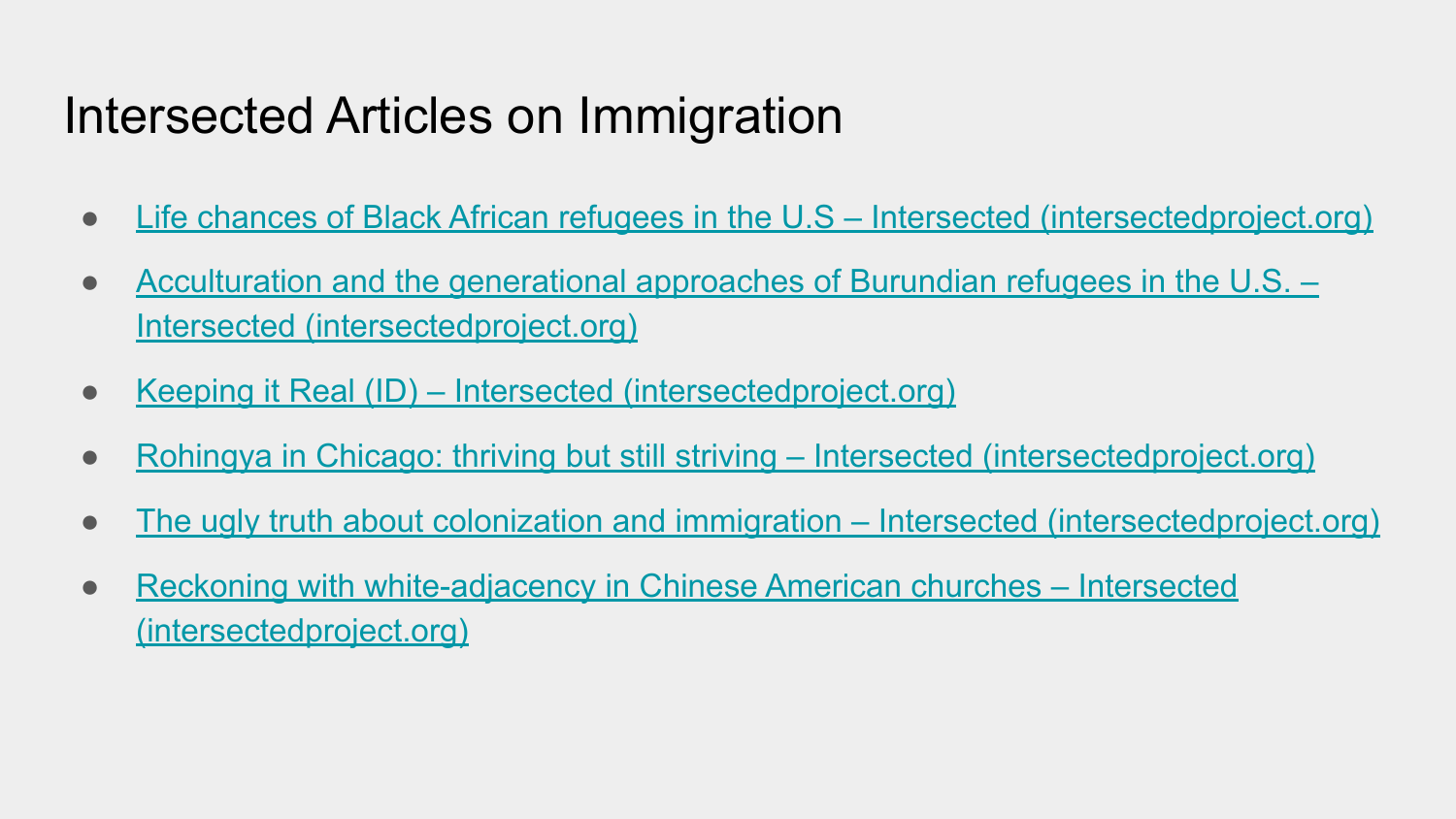## Intersected Articles on Immigration

- [Life chances of Black African refugees in the U.S Intersected \(intersectedproject.org\)](https://intersectedproject.org/2020/09/05/life-chances-of-black-african-refugees-in-the-u-s/)
- [Acculturation and the generational approaches of Burundian refugees in the U.S. –](https://intersectedproject.org/2021/04/26/acculturation-and-the-generational-approaches-of-burundian-refugees-in-the-u-s-nyuki-podcast-collaboration/) [Intersected \(intersectedproject.org\)](https://intersectedproject.org/2021/04/26/acculturation-and-the-generational-approaches-of-burundian-refugees-in-the-u-s-nyuki-podcast-collaboration/)
- [Keeping it Real \(ID\) Intersected \(intersectedproject.org\)](https://intersectedproject.org/2021/11/01/keeping-it-real-id/)
- [Rohingya in Chicago: thriving but still striving Intersected \(intersectedproject.org\)](https://intersectedproject.org/2021/05/31/rohingya-in-chicago-thriving-but-still-striving/)
- [The ugly truth about colonization and immigration Intersected \(intersectedproject.org\)](https://intersectedproject.org/2021/05/04/the-ugly-truth-about-colonization-and-immigration-asian-american-heritage-month/)
- [Reckoning with white-adjacency in Chinese American churches Intersected](https://intersectedproject.org/2020/12/07/reckoning-with-white-adjacency-in-chinese-american-churches/) [\(intersectedproject.org\)](https://intersectedproject.org/2020/12/07/reckoning-with-white-adjacency-in-chinese-american-churches/)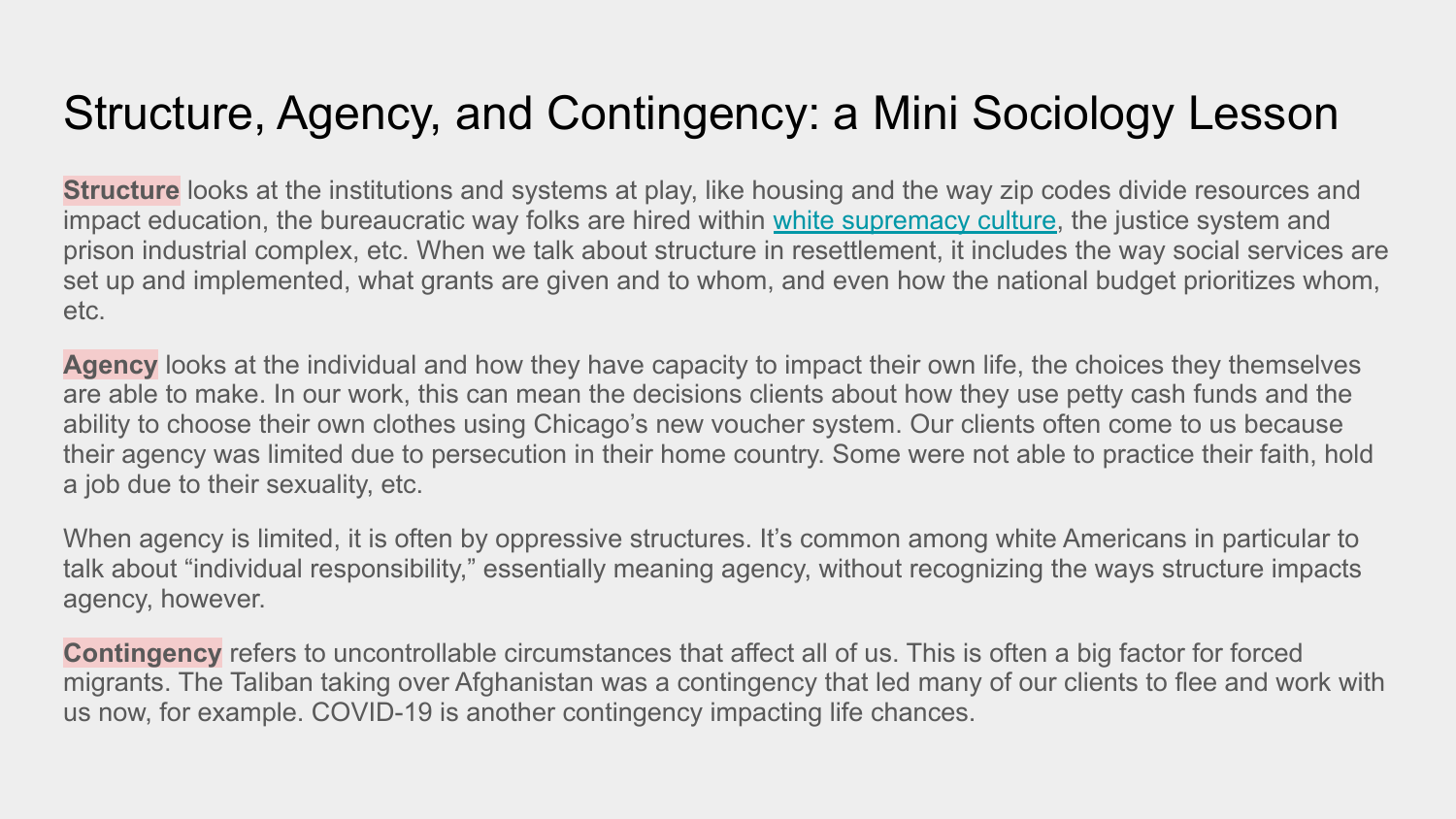#### Structure, Agency, and Contingency: a Mini Sociology Lesson

**Structure** looks at the institutions and systems at play, like housing and the way zip codes divide resources and impact education, the bureaucratic way folks are hired within [white supremacy culture](https://www.whitesupremacyculture.info/), the justice system and prison industrial complex, etc. When we talk about structure in resettlement, it includes the way social services are set up and implemented, what grants are given and to whom, and even how the national budget prioritizes whom, etc.

**Agency** looks at the individual and how they have capacity to impact their own life, the choices they themselves are able to make. In our work, this can mean the decisions clients about how they use petty cash funds and the ability to choose their own clothes using Chicago's new voucher system. Our clients often come to us because their agency was limited due to persecution in their home country. Some were not able to practice their faith, hold a job due to their sexuality, etc.

When agency is limited, it is often by oppressive structures. It's common among white Americans in particular to talk about "individual responsibility," essentially meaning agency, without recognizing the ways structure impacts agency, however.

**Contingency** refers to uncontrollable circumstances that affect all of us. This is often a big factor for forced migrants. The Taliban taking over Afghanistan was a contingency that led many of our clients to flee and work with us now, for example. COVID-19 is another contingency impacting life chances.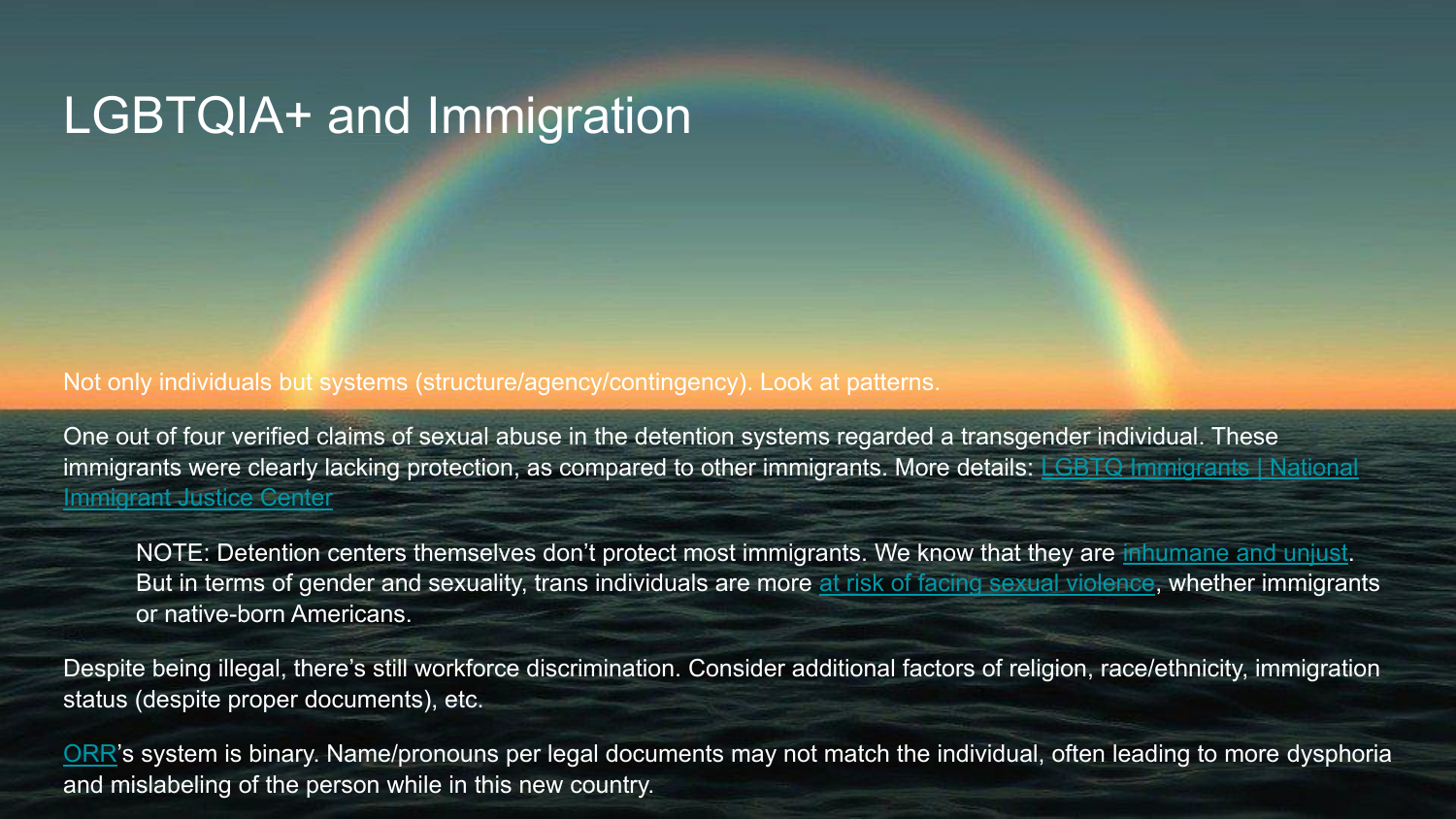# LGBTQIA+ and Immigration

Not only individuals but systems (structure/agency/contingency). Look at patterns.

One out of four verified claims of sexual abuse in the detention systems regarded a transgender individual. These immigrants were clearly lacking protection, as compared to other immigrants. More details: [LGBTQ Immigrants | National](https://immigrantjustice.org/stop-abuse-detained-lgbt-immigrants) [Immigrant Justice Center](https://immigrantjustice.org/stop-abuse-detained-lgbt-immigrants)

NOTE: Detention centers themselves don't protect most immigrants. We know that they are [inhumane and unjust.](https://immigrationforum.org/article/fact-sheet-immigration-detention-in-the-united-states/) But in terms of gender and sexuality, trans individuals are more [at risk of facing sexual violence](https://vawnet.org/sc/serving-trans-and-non-binary-survivors-domestic-and-sexual-violence/violence-against-trans-and), whether immigrants or native-born Americans.

Despite being illegal, there's still workforce discrimination. Consider additional factors of religion, race/ethnicity, immigration status (despite proper documents), etc.

[ORR'](https://www.acf.hhs.gov/orr)s system is binary. Name/pronouns per legal documents may not match the individual, often leading to more dysphoria and mislabeling of the person while in this new country.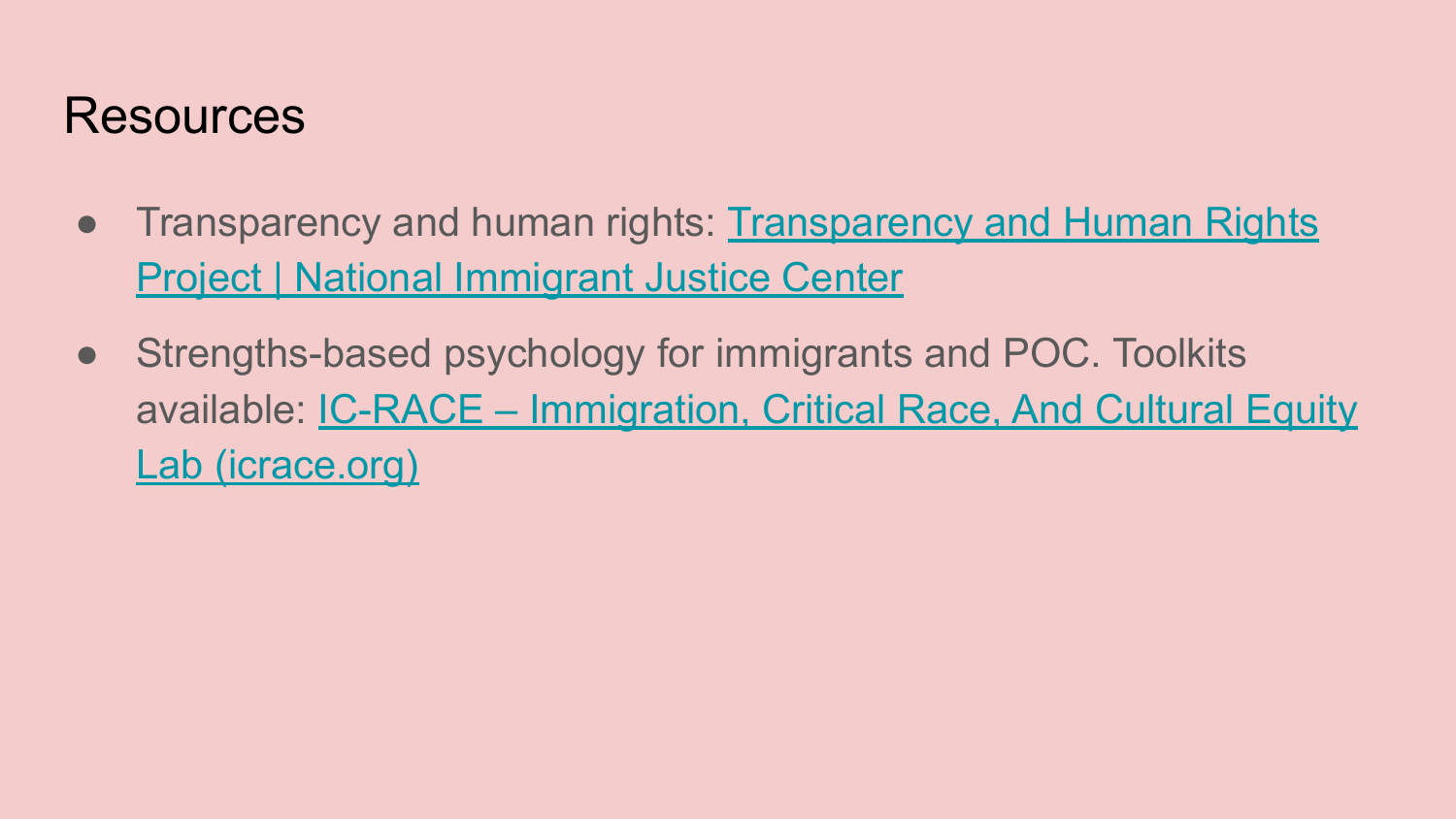#### Resources

- Transparency and human rights: [Transparency and Human Rights](https://immigrantjustice.org/issues/transparencyandhumanrights) [Project | National Immigrant Justice Center](https://immigrantjustice.org/issues/transparencyandhumanrights)
- Strengths-based psychology for immigrants and POC. Toolkits available: [IC-RACE – Immigration, Critical Race, And Cultural Equity](https://icrace.org/) [Lab \(icrace.org\)](https://icrace.org/)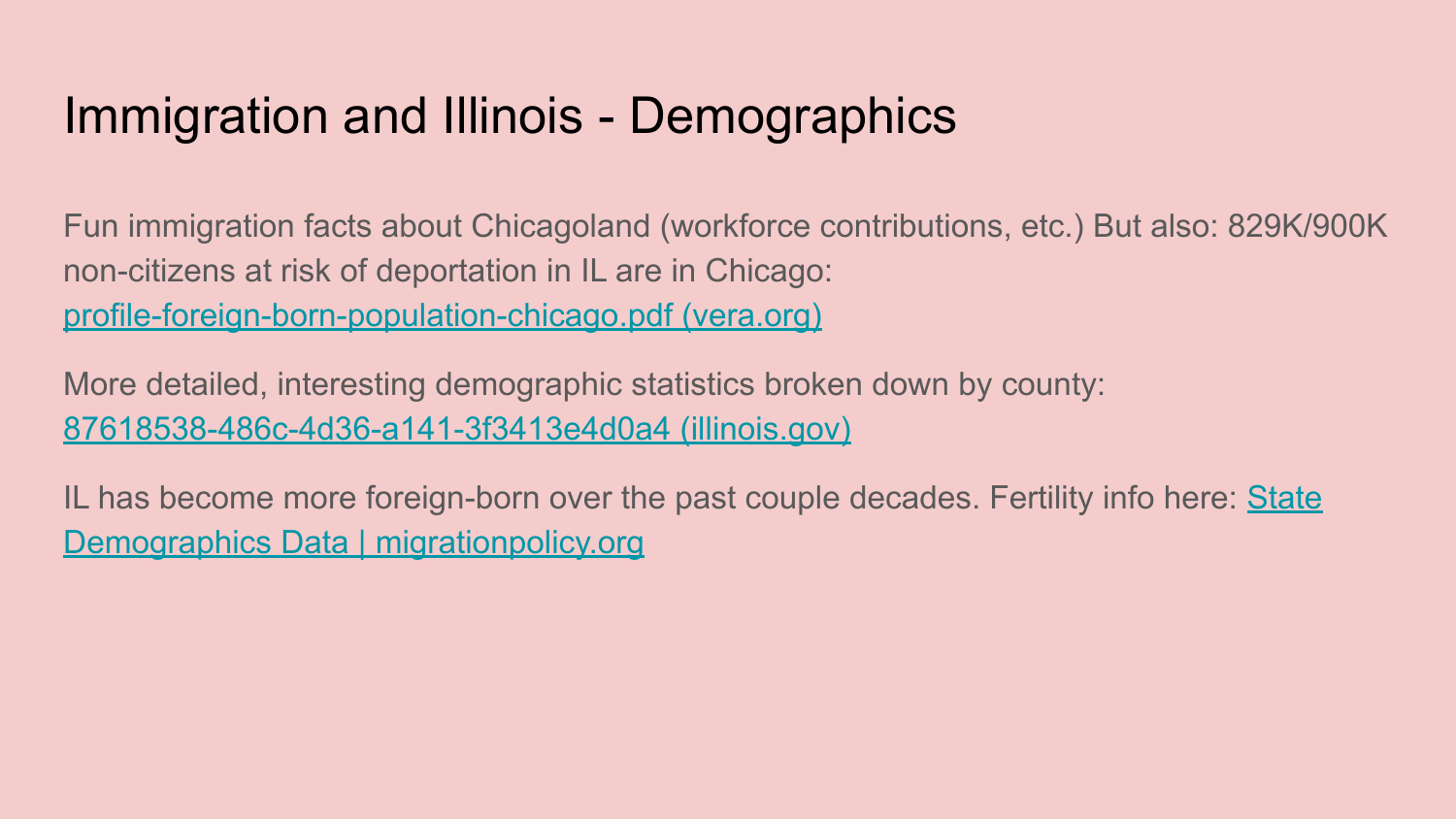# Immigration and Illinois - Demographics

Fun immigration facts about Chicagoland (workforce contributions, etc.) But also: 829K/900K non-citizens at risk of deportation in IL are in Chicago: [profile-foreign-born-population-chicago.pdf \(vera.org\)](https://www.vera.org/downloads/publications/profile-foreign-born-population-chicago.pdf)

More detailed, interesting demographic statistics broken down by county: [87618538-486c-4d36-a141-3f3413e4d0a4 \(illinois.gov\)](https://www.cmap.illinois.gov/documents/10180/326513/Chapter+1_Demographics/87618538-486c-4d36-a141-3f3413e4d0a4)

IL has become more foreign-born over the past couple decades. Fertility info here: [State](https://www.migrationpolicy.org/data/state-profiles/state/demographics/IL) [Demographics Data | migrationpolicy.org](https://www.migrationpolicy.org/data/state-profiles/state/demographics/IL)